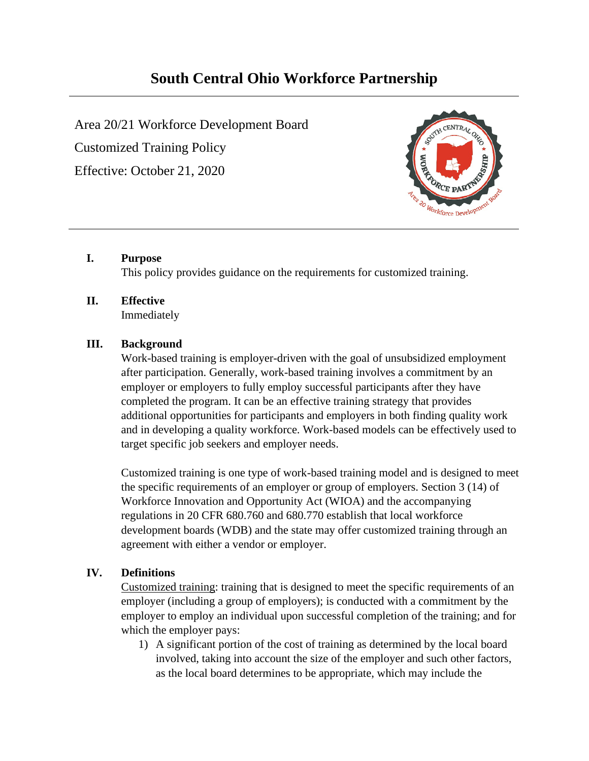# **South Central Ohio Workforce Partnership**

Area 20/21 Workforce Development Board Customized Training Policy Effective: October 21, 2020



## **I. Purpose**

This policy provides guidance on the requirements for customized training.

# **II. Effective**

Immediately

## **III. Background**

Work-based training is employer-driven with the goal of unsubsidized employment after participation. Generally, work-based training involves a commitment by an employer or employers to fully employ successful participants after they have completed the program. It can be an effective training strategy that provides additional opportunities for participants and employers in both finding quality work and in developing a quality workforce. Work-based models can be effectively used to target specific job seekers and employer needs.

Customized training is one type of work-based training model and is designed to meet the specific requirements of an employer or group of employers. Section 3 (14) of Workforce Innovation and Opportunity Act (WIOA) and the accompanying regulations in 20 CFR 680.760 and 680.770 establish that local workforce development boards (WDB) and the state may offer customized training through an agreement with either a vendor or employer.

# **IV. Definitions**

Customized training: training that is designed to meet the specific requirements of an employer (including a group of employers); is conducted with a commitment by the employer to employ an individual upon successful completion of the training; and for which the employer pays:

1) A significant portion of the cost of training as determined by the local board involved, taking into account the size of the employer and such other factors, as the local board determines to be appropriate, which may include the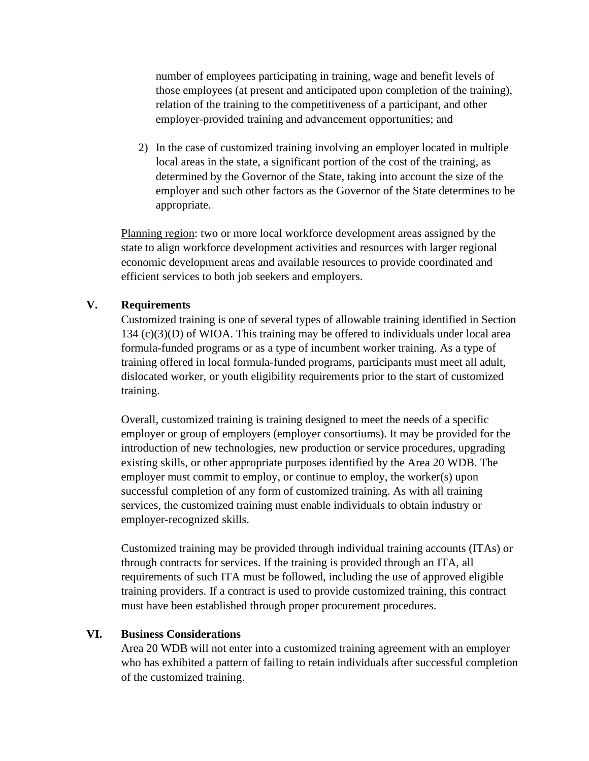number of employees participating in training, wage and benefit levels of those employees (at present and anticipated upon completion of the training), relation of the training to the competitiveness of a participant, and other employer-provided training and advancement opportunities; and

2) In the case of customized training involving an employer located in multiple local areas in the state, a significant portion of the cost of the training, as determined by the Governor of the State, taking into account the size of the employer and such other factors as the Governor of the State determines to be appropriate.

Planning region: two or more local workforce development areas assigned by the state to align workforce development activities and resources with larger regional economic development areas and available resources to provide coordinated and efficient services to both job seekers and employers.

#### **V. Requirements**

Customized training is one of several types of allowable training identified in Section 134 (c)(3)(D) of WIOA. This training may be offered to individuals under local area formula-funded programs or as a type of incumbent worker training. As a type of training offered in local formula-funded programs, participants must meet all adult, dislocated worker, or youth eligibility requirements prior to the start of customized training.

Overall, customized training is training designed to meet the needs of a specific employer or group of employers (employer consortiums). It may be provided for the introduction of new technologies, new production or service procedures, upgrading existing skills, or other appropriate purposes identified by the Area 20 WDB. The employer must commit to employ, or continue to employ, the worker(s) upon successful completion of any form of customized training. As with all training services, the customized training must enable individuals to obtain industry or employer-recognized skills.

Customized training may be provided through individual training accounts (ITAs) or through contracts for services. If the training is provided through an ITA, all requirements of such ITA must be followed, including the use of approved eligible training providers. If a contract is used to provide customized training, this contract must have been established through proper procurement procedures.

#### **VI. Business Considerations**

Area 20 WDB will not enter into a customized training agreement with an employer who has exhibited a pattern of failing to retain individuals after successful completion of the customized training.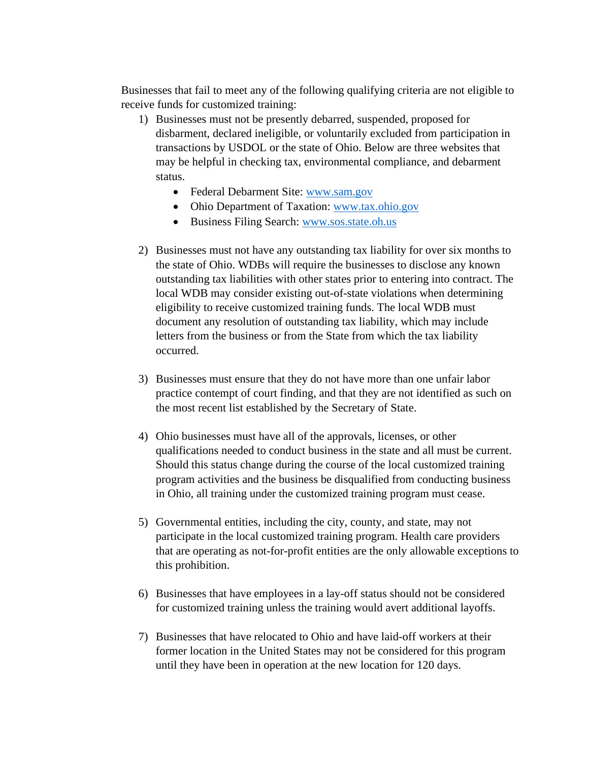Businesses that fail to meet any of the following qualifying criteria are not eligible to receive funds for customized training:

- 1) Businesses must not be presently debarred, suspended, proposed for disbarment, declared ineligible, or voluntarily excluded from participation in transactions by USDOL or the state of Ohio. Below are three websites that may be helpful in checking tax, environmental compliance, and debarment status.
	- Federal Debarment Site: [www.sam.gov](http://www.sam.gov/)
	- Ohio Department of Taxation: [www.tax.ohio.gov](http://www.tax.ohio.gov/)
	- Business Filing Search: [www.sos.state.oh.us](http://www.sos.state.oh.us/)
- 2) Businesses must not have any outstanding tax liability for over six months to the state of Ohio. WDBs will require the businesses to disclose any known outstanding tax liabilities with other states prior to entering into contract. The local WDB may consider existing out-of-state violations when determining eligibility to receive customized training funds. The local WDB must document any resolution of outstanding tax liability, which may include letters from the business or from the State from which the tax liability occurred.
- 3) Businesses must ensure that they do not have more than one unfair labor practice contempt of court finding, and that they are not identified as such on the most recent list established by the Secretary of State.
- 4) Ohio businesses must have all of the approvals, licenses, or other qualifications needed to conduct business in the state and all must be current. Should this status change during the course of the local customized training program activities and the business be disqualified from conducting business in Ohio, all training under the customized training program must cease.
- 5) Governmental entities, including the city, county, and state, may not participate in the local customized training program. Health care providers that are operating as not-for-profit entities are the only allowable exceptions to this prohibition.
- 6) Businesses that have employees in a lay-off status should not be considered for customized training unless the training would avert additional layoffs.
- 7) Businesses that have relocated to Ohio and have laid-off workers at their former location in the United States may not be considered for this program until they have been in operation at the new location for 120 days.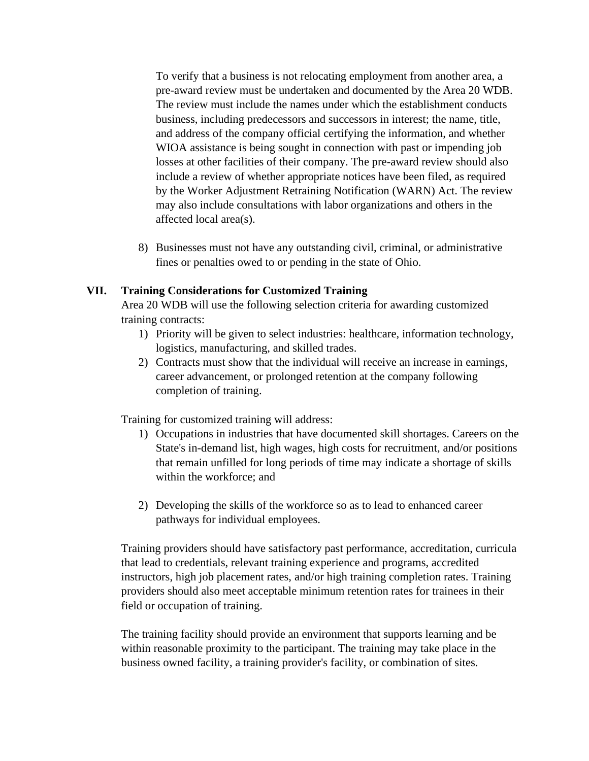To verify that a business is not relocating employment from another area, a pre-award review must be undertaken and documented by the Area 20 WDB. The review must include the names under which the establishment conducts business, including predecessors and successors in interest; the name, title, and address of the company official certifying the information, and whether WIOA assistance is being sought in connection with past or impending job losses at other facilities of their company. The pre-award review should also include a review of whether appropriate notices have been filed, as required by the Worker Adjustment Retraining Notification (WARN) Act. The review may also include consultations with labor organizations and others in the affected local area(s).

8) Businesses must not have any outstanding civil, criminal, or administrative fines or penalties owed to or pending in the state of Ohio.

### **VII. Training Considerations for Customized Training**

Area 20 WDB will use the following selection criteria for awarding customized training contracts:

- 1) Priority will be given to select industries: healthcare, information technology, logistics, manufacturing, and skilled trades.
- 2) Contracts must show that the individual will receive an increase in earnings, career advancement, or prolonged retention at the company following completion of training.

Training for customized training will address:

- 1) Occupations in industries that have documented skill shortages. Careers on the State's in-demand list, high wages, high costs for recruitment, and/or positions that remain unfilled for long periods of time may indicate a shortage of skills within the workforce; and
- 2) Developing the skills of the workforce so as to lead to enhanced career pathways for individual employees.

Training providers should have satisfactory past performance, accreditation, curricula that lead to credentials, relevant training experience and programs, accredited instructors, high job placement rates, and/or high training completion rates. Training providers should also meet acceptable minimum retention rates for trainees in their field or occupation of training.

The training facility should provide an environment that supports learning and be within reasonable proximity to the participant. The training may take place in the business owned facility, a training provider's facility, or combination of sites.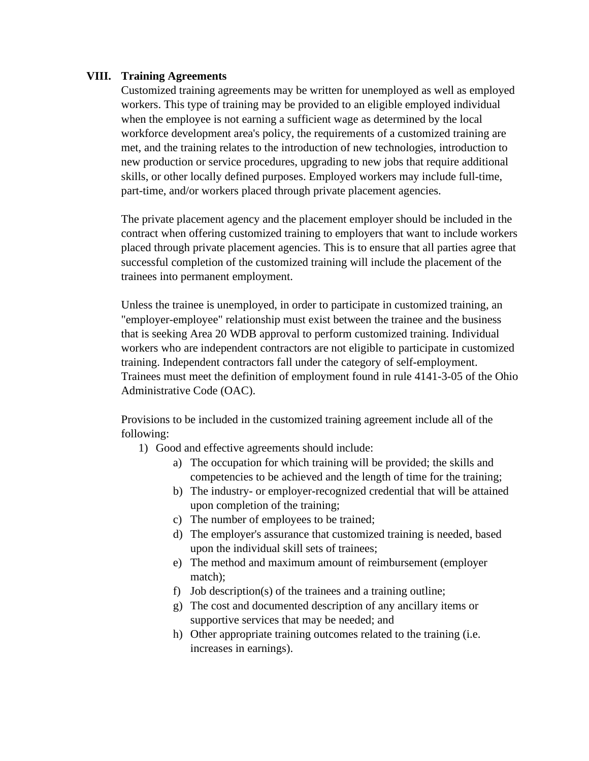#### **VIII. Training Agreements**

Customized training agreements may be written for unemployed as well as employed workers. This type of training may be provided to an eligible employed individual when the employee is not earning a sufficient wage as determined by the local workforce development area's policy, the requirements of a customized training are met, and the training relates to the introduction of new technologies, introduction to new production or service procedures, upgrading to new jobs that require additional skills, or other locally defined purposes. Employed workers may include full-time, part-time, and/or workers placed through private placement agencies.

The private placement agency and the placement employer should be included in the contract when offering customized training to employers that want to include workers placed through private placement agencies. This is to ensure that all parties agree that successful completion of the customized training will include the placement of the trainees into permanent employment.

Unless the trainee is unemployed, in order to participate in customized training, an "employer-employee" relationship must exist between the trainee and the business that is seeking Area 20 WDB approval to perform customized training. Individual workers who are independent contractors are not eligible to participate in customized training. Independent contractors fall under the category of self-employment. Trainees must meet the definition of employment found in rule 4141-3-05 of the Ohio Administrative Code (OAC).

Provisions to be included in the customized training agreement include all of the following:

- 1) Good and effective agreements should include:
	- a) The occupation for which training will be provided; the skills and competencies to be achieved and the length of time for the training;
	- b) The industry- or employer-recognized credential that will be attained upon completion of the training;
	- c) The number of employees to be trained;
	- d) The employer's assurance that customized training is needed, based upon the individual skill sets of trainees;
	- e) The method and maximum amount of reimbursement (employer match);
	- f) Job description(s) of the trainees and a training outline;
	- g) The cost and documented description of any ancillary items or supportive services that may be needed; and
	- h) Other appropriate training outcomes related to the training (i.e. increases in earnings).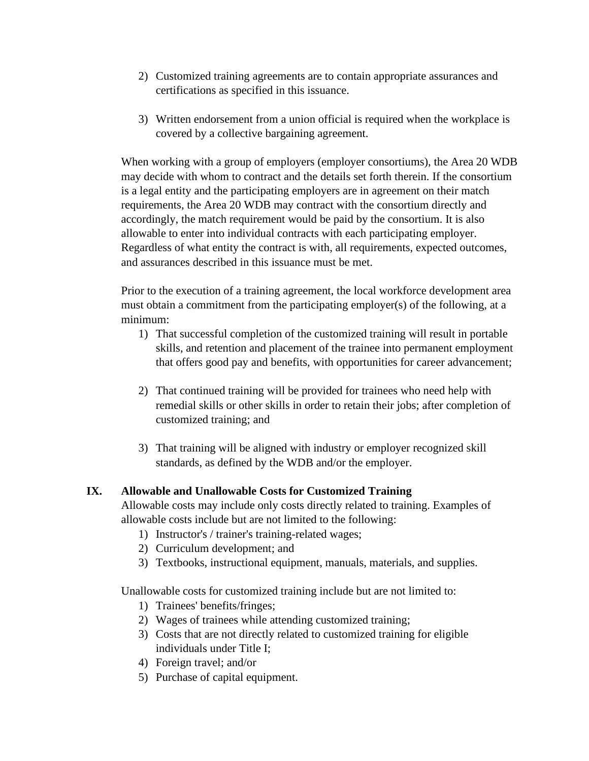- 2) Customized training agreements are to contain appropriate assurances and certifications as specified in this issuance.
- 3) Written endorsement from a union official is required when the workplace is covered by a collective bargaining agreement.

When working with a group of employers (employer consortiums), the Area 20 WDB may decide with whom to contract and the details set forth therein. If the consortium is a legal entity and the participating employers are in agreement on their match requirements, the Area 20 WDB may contract with the consortium directly and accordingly, the match requirement would be paid by the consortium. It is also allowable to enter into individual contracts with each participating employer. Regardless of what entity the contract is with, all requirements, expected outcomes, and assurances described in this issuance must be met.

Prior to the execution of a training agreement, the local workforce development area must obtain a commitment from the participating employer(s) of the following, at a minimum:

- 1) That successful completion of the customized training will result in portable skills, and retention and placement of the trainee into permanent employment that offers good pay and benefits, with opportunities for career advancement;
- 2) That continued training will be provided for trainees who need help with remedial skills or other skills in order to retain their jobs; after completion of customized training; and
- 3) That training will be aligned with industry or employer recognized skill standards, as defined by the WDB and/or the employer.

# **IX. Allowable and Unallowable Costs for Customized Training**

Allowable costs may include only costs directly related to training. Examples of allowable costs include but are not limited to the following:

- 1) Instructor's / trainer's training-related wages;
- 2) Curriculum development; and
- 3) Textbooks, instructional equipment, manuals, materials, and supplies.

Unallowable costs for customized training include but are not limited to:

- 1) Trainees' benefits/fringes;
- 2) Wages of trainees while attending customized training;
- 3) Costs that are not directly related to customized training for eligible individuals under Title I;
- 4) Foreign travel; and/or
- 5) Purchase of capital equipment.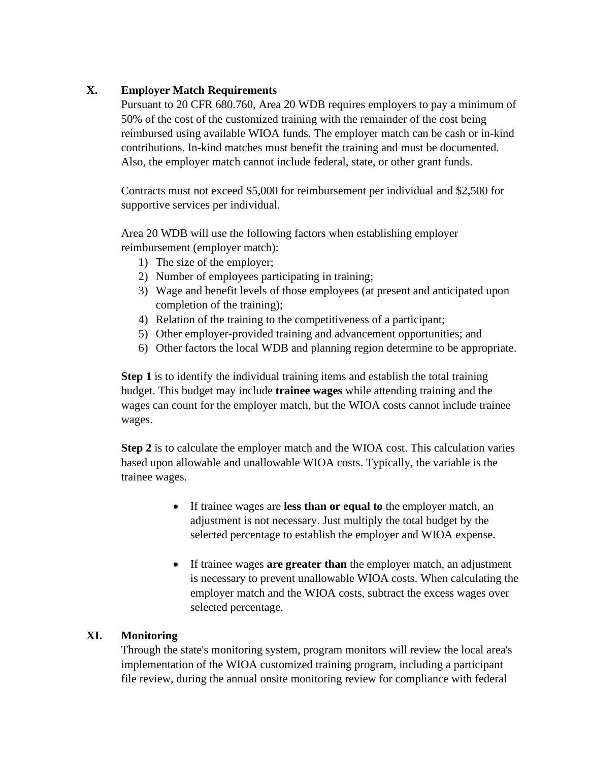## **X. Employer Match Requirements**

Pursuant to 20 CFR 680.760, Area 20 WDB requires employers to pay a minimum of 50% of the cost of the customized training with the remainder of the cost being reimbursed using available WIOA funds. The employer match can be cash or in-kind contributions. In-kind matches must benefit the training and must be documented. Also, the employer match cannot include federal, state, or other grant funds.

Contracts must not exceed \$5,000 for reimbursement per individual and \$2,500 for supportive services per individual.

Area 20 WDB will use the following factors when establishing employer reimbursement (employer match):

- 1) The size of the employer;
- 2) Number of employees participating in training;
- 3) Wage and benefit levels of those employees (at present and anticipated upon completion of the training);
- 4) Relation of the training to the competitiveness of a participant;
- 5) Other employer-provided training and advancement opportunities; and
- 6) Other factors the local WDB and planning region determine to be appropriate.

**Step 1** is to identify the individual training items and establish the total training budget. This budget may include **trainee wages** while attending training and the wages can count for the employer match, but the WIOA costs cannot include trainee wages.

**Step 2** is to calculate the employer match and the WIOA cost. This calculation varies based upon allowable and unallowable WIOA costs. Typically, the variable is the trainee wages.

- If trainee wages are **less than or equal to** the employer match, an adjustment is not necessary. Just multiply the total budget by the selected percentage to establish the employer and WIOA expense.
- If trainee wages **are greater than** the employer match, an adjustment is necessary to prevent unallowable WIOA costs. When calculating the employer match and the WIOA costs, subtract the excess wages over selected percentage.

# **XI. Monitoring**

Through the state's monitoring system, program monitors will review the local area's implementation of the WIOA customized training program, including a participant file review, during the annual onsite monitoring review for compliance with federal